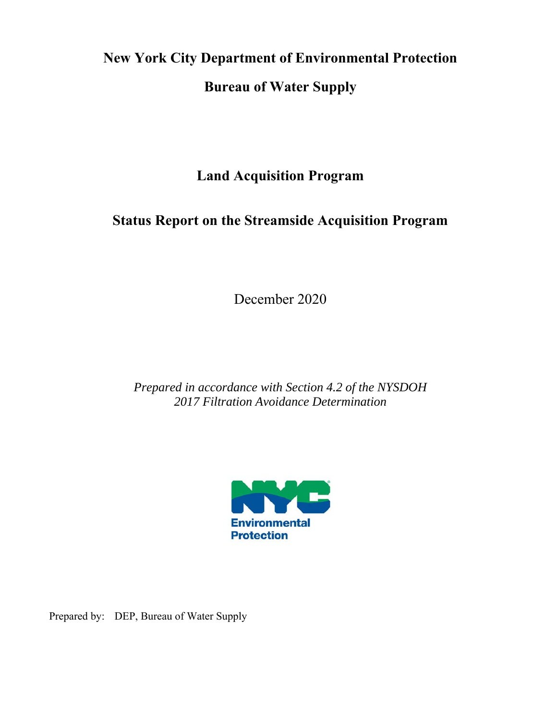# **New York City Department of Environmental Protection Bureau of Water Supply**

**Land Acquisition Program** 

## **Status Report on the Streamside Acquisition Program**

December 2020

*Prepared in accordance with Section 4.2 of the NYSDOH 2017 Filtration Avoidance Determination* 



Prepared by: DEP, Bureau of Water Supply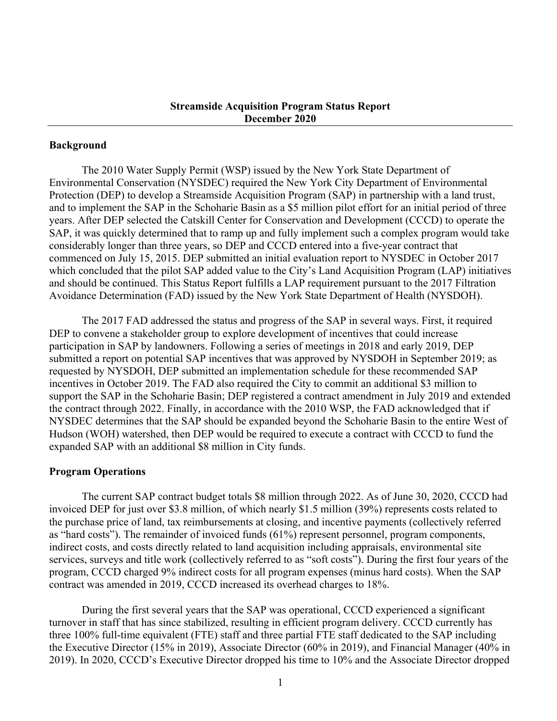#### **Background**

The 2010 Water Supply Permit (WSP) issued by the New York State Department of Environmental Conservation (NYSDEC) required the New York City Department of Environmental Protection (DEP) to develop a Streamside Acquisition Program (SAP) in partnership with a land trust, and to implement the SAP in the Schoharie Basin as a \$5 million pilot effort for an initial period of three years. After DEP selected the Catskill Center for Conservation and Development (CCCD) to operate the SAP, it was quickly determined that to ramp up and fully implement such a complex program would take considerably longer than three years, so DEP and CCCD entered into a five-year contract that commenced on July 15, 2015. DEP submitted an initial evaluation report to NYSDEC in October 2017 which concluded that the pilot SAP added value to the City's Land Acquisition Program (LAP) initiatives and should be continued. This Status Report fulfills a LAP requirement pursuant to the 2017 Filtration Avoidance Determination (FAD) issued by the New York State Department of Health (NYSDOH).

The 2017 FAD addressed the status and progress of the SAP in several ways. First, it required DEP to convene a stakeholder group to explore development of incentives that could increase participation in SAP by landowners. Following a series of meetings in 2018 and early 2019, DEP submitted a report on potential SAP incentives that was approved by NYSDOH in September 2019; as requested by NYSDOH, DEP submitted an implementation schedule for these recommended SAP incentives in October 2019. The FAD also required the City to commit an additional \$3 million to support the SAP in the Schoharie Basin; DEP registered a contract amendment in July 2019 and extended the contract through 2022. Finally, in accordance with the 2010 WSP, the FAD acknowledged that if NYSDEC determines that the SAP should be expanded beyond the Schoharie Basin to the entire West of Hudson (WOH) watershed, then DEP would be required to execute a contract with CCCD to fund the expanded SAP with an additional \$8 million in City funds.

#### **Program Operations**

The current SAP contract budget totals \$8 million through 2022. As of June 30, 2020, CCCD had invoiced DEP for just over \$3.8 million, of which nearly \$1.5 million (39%) represents costs related to the purchase price of land, tax reimbursements at closing, and incentive payments (collectively referred as "hard costs"). The remainder of invoiced funds (61%) represent personnel, program components, indirect costs, and costs directly related to land acquisition including appraisals, environmental site services, surveys and title work (collectively referred to as "soft costs"). During the first four years of the program, CCCD charged 9% indirect costs for all program expenses (minus hard costs). When the SAP contract was amended in 2019, CCCD increased its overhead charges to 18%.

During the first several years that the SAP was operational, CCCD experienced a significant turnover in staff that has since stabilized, resulting in efficient program delivery. CCCD currently has three 100% full-time equivalent (FTE) staff and three partial FTE staff dedicated to the SAP including the Executive Director (15% in 2019), Associate Director (60% in 2019), and Financial Manager (40% in 2019). In 2020, CCCD's Executive Director dropped his time to 10% and the Associate Director dropped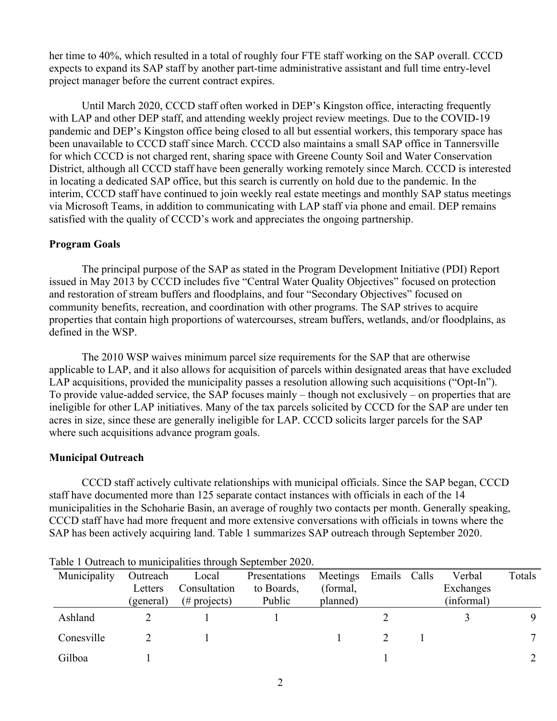her time to 40%, which resulted in a total of roughly four FTE staff working on the SAP overall. CCCD expects to expand its SAP staff by another part-time administrative assistant and full time entry-level project manager before the current contract expires.

Until March 2020, CCCD staff often worked in DEP's Kingston office, interacting frequently with LAP and other DEP staff, and attending weekly project review meetings. Due to the COVID-19 pandemic and DEP's Kingston office being closed to all but essential workers, this temporary space has been unavailable to CCCD staff since March. CCCD also maintains a small SAP office in Tannersville for which CCCD is not charged rent, sharing space with Greene County Soil and Water Conservation District, although all CCCD staff have been generally working remotely since March. CCCD is interested in locating a dedicated SAP office, but this search is currently on hold due to the pandemic. In the interim, CCCD staff have continued to join weekly real estate meetings and monthly SAP status meetings via Microsoft Teams, in addition to communicating with LAP staff via phone and email. DEP remains satisfied with the quality of CCCD's work and appreciates the ongoing partnership.

#### **Program Goals**

The principal purpose of the SAP as stated in the Program Development Initiative (PDI) Report issued in May 2013 by CCCD includes five "Central Water Quality Objectives" focused on protection and restoration of stream buffers and floodplains, and four "Secondary Objectives" focused on community benefits, recreation, and coordination with other programs. The SAP strives to acquire properties that contain high proportions of watercourses, stream buffers, wetlands, and/or floodplains, as defined in the WSP.

The 2010 WSP waives minimum parcel size requirements for the SAP that are otherwise applicable to LAP, and it also allows for acquisition of parcels within designated areas that have excluded LAP acquisitions, provided the municipality passes a resolution allowing such acquisitions ("Opt-In"). To provide value-added service, the SAP focuses mainly – though not exclusively – on properties that are ineligible for other LAP initiatives. Many of the tax parcels solicited by CCCD for the SAP are under ten acres in size, since these are generally ineligible for LAP. CCCD solicits larger parcels for the SAP where such acquisitions advance program goals.

#### **Municipal Outreach**

CCCD staff actively cultivate relationships with municipal officials. Since the SAP began, CCCD staff have documented more than 125 separate contact instances with officials in each of the 14 municipalities in the Schoharie Basin, an average of roughly two contacts per month. Generally speaking, CCCD staff have had more frequent and more extensive conversations with officials in towns where the SAP has been actively acquiring land. Table 1 summarizes SAP outreach through September 2020.

| Municipality | Outreach             | Local                           | Presentations        | Meetings Emails Calls |  | Verbal                  | Totals |
|--------------|----------------------|---------------------------------|----------------------|-----------------------|--|-------------------------|--------|
|              | Letters<br>(general) | Consultation<br>$(\#$ projects) | to Boards,<br>Public | (formal,<br>planned)  |  | Exchanges<br>(informal) |        |
| Ashland      |                      |                                 |                      |                       |  |                         |        |
| Conesville   |                      |                                 |                      |                       |  |                         | −      |
| Gilboa       |                      |                                 |                      |                       |  |                         |        |

Table 1 Outreach to municipalities through September 2020.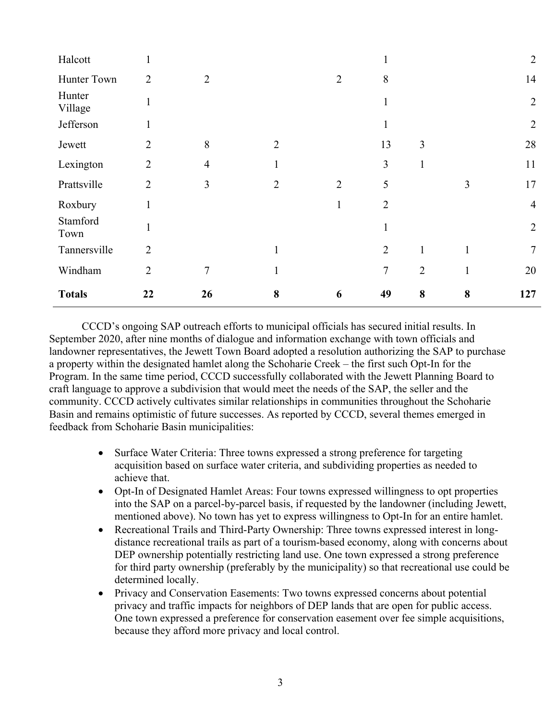| Halcott           | 1              |                |                |                |                |                |              | $\overline{2}$ |
|-------------------|----------------|----------------|----------------|----------------|----------------|----------------|--------------|----------------|
| Hunter Town       | $\overline{2}$ | $\overline{2}$ |                | $\overline{2}$ | 8              |                |              | 14             |
| Hunter<br>Village | 1              |                |                |                |                |                |              | $\overline{2}$ |
| Jefferson         | 1              |                |                |                | $\mathbf{1}$   |                |              | $\overline{2}$ |
| Jewett            | $\overline{2}$ | 8              | $\overline{2}$ |                | 13             | $\mathfrak{Z}$ |              | 28             |
| Lexington         | $\overline{2}$ | $\overline{4}$ |                |                | $\overline{3}$ | $\mathbf{1}$   |              | 11             |
| Prattsville       | $\overline{2}$ | 3              | $\overline{2}$ | $\overline{2}$ | 5              |                | 3            | 17             |
| Roxbury           | $\mathbf{1}$   |                |                | 1              | $\overline{2}$ |                |              | $\overline{4}$ |
| Stamford<br>Town  | $\mathbf{1}$   |                |                |                | $\mathbf{1}$   |                |              | $\overline{2}$ |
| Tannersville      | $\overline{2}$ |                | $\mathbf{1}$   |                | $\overline{2}$ | $\mathbf{1}$   | $\mathbf{1}$ | 7              |
| Windham           | $\overline{2}$ | $\overline{7}$ |                |                | $\tau$         | $\overline{2}$ | $\mathbf{1}$ | 20             |
| <b>Totals</b>     | 22             | 26             | 8              | 6              | 49             | 8              | 8            | 127            |

CCCD's ongoing SAP outreach efforts to municipal officials has secured initial results. In September 2020, after nine months of dialogue and information exchange with town officials and landowner representatives, the Jewett Town Board adopted a resolution authorizing the SAP to purchase a property within the designated hamlet along the Schoharie Creek – the first such Opt-In for the Program. In the same time period, CCCD successfully collaborated with the Jewett Planning Board to craft language to approve a subdivision that would meet the needs of the SAP, the seller and the community. CCCD actively cultivates similar relationships in communities throughout the Schoharie Basin and remains optimistic of future successes. As reported by CCCD, several themes emerged in feedback from Schoharie Basin municipalities:

- Surface Water Criteria: Three towns expressed a strong preference for targeting acquisition based on surface water criteria, and subdividing properties as needed to achieve that.
- Opt-In of Designated Hamlet Areas: Four towns expressed willingness to opt properties into the SAP on a parcel-by-parcel basis, if requested by the landowner (including Jewett, mentioned above). No town has yet to express willingness to Opt-In for an entire hamlet.
- Recreational Trails and Third-Party Ownership: Three towns expressed interest in longdistance recreational trails as part of a tourism-based economy, along with concerns about DEP ownership potentially restricting land use. One town expressed a strong preference for third party ownership (preferably by the municipality) so that recreational use could be determined locally.
- Privacy and Conservation Easements: Two towns expressed concerns about potential privacy and traffic impacts for neighbors of DEP lands that are open for public access. One town expressed a preference for conservation easement over fee simple acquisitions, because they afford more privacy and local control.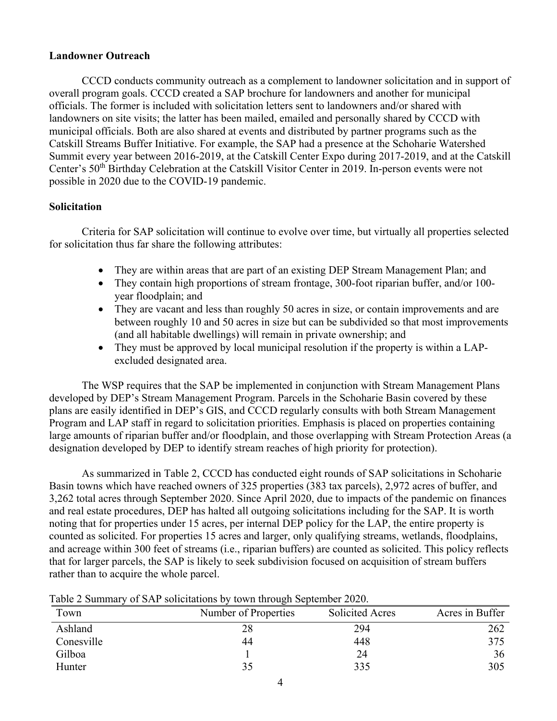#### **Landowner Outreach**

CCCD conducts community outreach as a complement to landowner solicitation and in support of overall program goals. CCCD created a SAP brochure for landowners and another for municipal officials. The former is included with solicitation letters sent to landowners and/or shared with landowners on site visits; the latter has been mailed, emailed and personally shared by CCCD with municipal officials. Both are also shared at events and distributed by partner programs such as the Catskill Streams Buffer Initiative. For example, the SAP had a presence at the Schoharie Watershed Summit every year between 2016-2019, at the Catskill Center Expo during 2017-2019, and at the Catskill Center's 50th Birthday Celebration at the Catskill Visitor Center in 2019. In-person events were not possible in 2020 due to the COVID-19 pandemic.

#### **Solicitation**

Criteria for SAP solicitation will continue to evolve over time, but virtually all properties selected for solicitation thus far share the following attributes:

- They are within areas that are part of an existing DEP Stream Management Plan; and
- They contain high proportions of stream frontage, 300-foot riparian buffer, and/or 100year floodplain; and
- They are vacant and less than roughly 50 acres in size, or contain improvements and are between roughly 10 and 50 acres in size but can be subdivided so that most improvements (and all habitable dwellings) will remain in private ownership; and
- They must be approved by local municipal resolution if the property is within a LAPexcluded designated area.

The WSP requires that the SAP be implemented in conjunction with Stream Management Plans developed by DEP's Stream Management Program. Parcels in the Schoharie Basin covered by these plans are easily identified in DEP's GIS, and CCCD regularly consults with both Stream Management Program and LAP staff in regard to solicitation priorities. Emphasis is placed on properties containing large amounts of riparian buffer and/or floodplain, and those overlapping with Stream Protection Areas (a designation developed by DEP to identify stream reaches of high priority for protection).

As summarized in Table 2, CCCD has conducted eight rounds of SAP solicitations in Schoharie Basin towns which have reached owners of 325 properties (383 tax parcels), 2,972 acres of buffer, and 3,262 total acres through September 2020. Since April 2020, due to impacts of the pandemic on finances and real estate procedures, DEP has halted all outgoing solicitations including for the SAP. It is worth noting that for properties under 15 acres, per internal DEP policy for the LAP, the entire property is counted as solicited. For properties 15 acres and larger, only qualifying streams, wetlands, floodplains, and acreage within 300 feet of streams (i.e., riparian buffers) are counted as solicited. This policy reflects that for larger parcels, the SAP is likely to seek subdivision focused on acquisition of stream buffers rather than to acquire the whole parcel.

| Table 2 Summary of SAP solicitations by town through September 2020. |  |  |  |
|----------------------------------------------------------------------|--|--|--|
|                                                                      |  |  |  |

| Town       | Number of Properties | <b>Solicited Acres</b> | Acres in Buffer |
|------------|----------------------|------------------------|-----------------|
| Ashland    | 28                   | 294                    | 262             |
| Conesville | 44                   | 448                    | 375             |
| Gilboa     |                      | 24                     | 36              |
| Hunter     | 35                   | 335                    | 305             |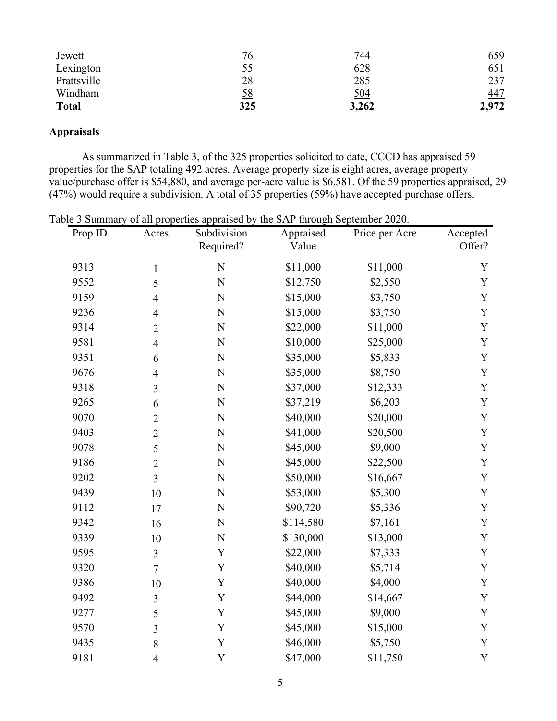| Jewett       | 76        | 744        | 659        |
|--------------|-----------|------------|------------|
| Lexington    | 55        | 628        | 651        |
| Prattsville  | 28        | 285        | 237        |
| Windham      | <u>58</u> | <u>504</u> | <u>447</u> |
| <b>Total</b> | 325       | 3,262      | 2,972      |

### **Appraisals**

As summarized in Table 3, of the 325 properties solicited to date, CCCD has appraised 59 properties for the SAP totaling 492 acres. Average property size is eight acres, average property value/purchase offer is \$54,880, and average per-acre value is \$6,581. Of the 59 properties appraised, 29 (47%) would require a subdivision. A total of 35 properties (59%) have accepted purchase offers.

| Prop ID | Acres          | Subdivision<br>Required? | Appraised<br>Value | Price per Acre | Accepted<br>Offer? |
|---------|----------------|--------------------------|--------------------|----------------|--------------------|
| 9313    | $\mathbf{1}$   | $\mathbf N$              | \$11,000           | \$11,000       | Y                  |
| 9552    | 5              | $\mathbf N$              | \$12,750           | \$2,550        | Y                  |
| 9159    | $\overline{4}$ | N                        | \$15,000           | \$3,750        | Y                  |
| 9236    | $\overline{4}$ | $\mathbf N$              | \$15,000           | \$3,750        | Y                  |
| 9314    | $\overline{2}$ | N                        | \$22,000           | \$11,000       | Y                  |
| 9581    | $\overline{4}$ | N                        | \$10,000           | \$25,000       | Y                  |
| 9351    | 6              | $\mathbf N$              | \$35,000           | \$5,833        | Y                  |
| 9676    | $\overline{4}$ | $\mathbf N$              | \$35,000           | \$8,750        | Y                  |
| 9318    | $\overline{3}$ | N                        | \$37,000           | \$12,333       | Y                  |
| 9265    | 6              | N                        | \$37,219           | \$6,203        | Y                  |
| 9070    | $\overline{2}$ | $\mathbf N$              | \$40,000           | \$20,000       | Y                  |
| 9403    | $\overline{2}$ | N                        | \$41,000           | \$20,500       | Y                  |
| 9078    | 5              | $\mathbf N$              | \$45,000           | \$9,000        | Y                  |
| 9186    | $\overline{2}$ | $\mathbf N$              | \$45,000           | \$22,500       | Y                  |
| 9202    | 3              | N                        | \$50,000           | \$16,667       | Y                  |
| 9439    | 10             | $\mathbf N$              | \$53,000           | \$5,300        | Y                  |
| 9112    | 17             | N                        | \$90,720           | \$5,336        | $\mathbf Y$        |
| 9342    | 16             | $\mathbf N$              | \$114,580          | \$7,161        | Y                  |
| 9339    | 10             | $\mathbf N$              | \$130,000          | \$13,000       | Y                  |
| 9595    | $\overline{3}$ | Y                        | \$22,000           | \$7,333        | Y                  |
| 9320    | $\overline{7}$ | Y                        | \$40,000           | \$5,714        | Y                  |
| 9386    | 10             | $\mathbf Y$              | \$40,000           | \$4,000        | Y                  |
| 9492    | $\overline{3}$ | Y                        | \$44,000           | \$14,667       | Y                  |
| 9277    | 5              | Y                        | \$45,000           | \$9,000        | Y                  |
| 9570    | $\overline{3}$ | Y                        | \$45,000           | \$15,000       | Y                  |
| 9435    | 8              | $\mathbf Y$              | \$46,000           | \$5,750        | Y                  |
| 9181    | $\overline{4}$ | Y                        | \$47,000           | \$11,750       | Y                  |

Table 3 Summary of all properties appraised by the SAP through September 2020.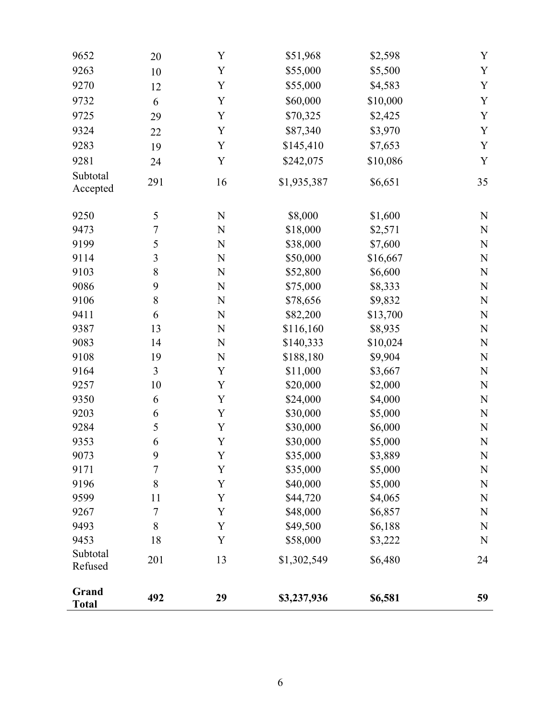| 9652                  | 20  | Y           | \$51,968    | \$2,598  | Y           |
|-----------------------|-----|-------------|-------------|----------|-------------|
| 9263                  | 10  | Y           | \$55,000    | \$5,500  | Y           |
| 9270                  | 12  | Y           | \$55,000    | \$4,583  | Y           |
| 9732                  | 6   | Y           | \$60,000    | \$10,000 | Y           |
| 9725                  | 29  | Y           | \$70,325    | \$2,425  | Y           |
| 9324                  | 22  | Y           | \$87,340    | \$3,970  | Y           |
| 9283                  | 19  | Y           | \$145,410   | \$7,653  | Y           |
| 9281                  | 24  | Y           | \$242,075   | \$10,086 | Y           |
| Subtotal<br>Accepted  | 291 | 16          | \$1,935,387 | \$6,651  | 35          |
| 9250                  | 5   | $\mathbf N$ | \$8,000     | \$1,600  | ${\bf N}$   |
| 9473                  | 7   | N           | \$18,000    | \$2,571  | N           |
| 9199                  | 5   | $\mathbf N$ | \$38,000    | \$7,600  | $\mathbf N$ |
| 9114                  | 3   | N           | \$50,000    | \$16,667 | N           |
| 9103                  | 8   | $\mathbf N$ | \$52,800    | \$6,600  | $\mathbf N$ |
| 9086                  | 9   | $\mathbf N$ | \$75,000    | \$8,333  | $\mathbf N$ |
| 9106                  | 8   | $\mathbf N$ | \$78,656    | \$9,832  | $\mathbf N$ |
| 9411                  | 6   | $\mathbf N$ | \$82,200    | \$13,700 | ${\bf N}$   |
| 9387                  | 13  | N           | \$116,160   | \$8,935  | N           |
| 9083                  | 14  | N           | \$140,333   | \$10,024 | $\mathbf N$ |
| 9108                  | 19  | N           | \$188,180   | \$9,904  | N           |
| 9164                  | 3   | Y           | \$11,000    | \$3,667  | N           |
| 9257                  | 10  | Y           | \$20,000    | \$2,000  | ${\bf N}$   |
| 9350                  | 6   | Y           | \$24,000    | \$4,000  | $\mathbf N$ |
| 9203                  | 6   | Y           | \$30,000    | \$5,000  | $\mathbf N$ |
| 9284                  | 5   | Y           | \$30,000    | \$6,000  | $\mathbf N$ |
| 9353                  | 6   | Y           | \$30,000    | \$5,000  | ${\bf N}$   |
| 9073                  | 9   | $\mathbf Y$ | \$35,000    | \$3,889  | N           |
| 9171                  | 7   | Y           | \$35,000    | \$5,000  | N           |
| 9196                  | 8   | Y           | \$40,000    | \$5,000  | N           |
| 9599                  | 11  | Y           | \$44,720    | \$4,065  | N           |
| 9267                  | 7   | Y           | \$48,000    | \$6,857  | N           |
| 9493                  | 8   | Y           | \$49,500    | \$6,188  | N           |
| 9453                  | 18  | Y           | \$58,000    | \$3,222  | N           |
| Subtotal<br>Refused   | 201 | 13          | \$1,302,549 | \$6,480  | 24          |
| Grand<br><b>Total</b> | 492 | 29          | \$3,237,936 | \$6,581  | 59          |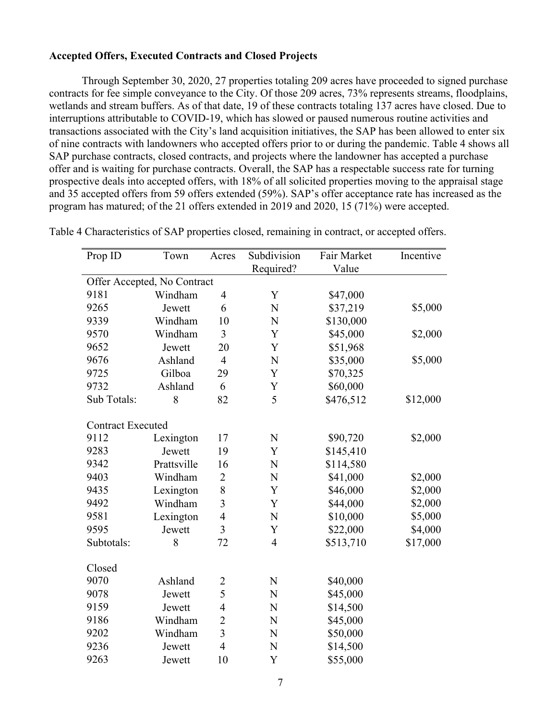#### **Accepted Offers, Executed Contracts and Closed Projects**

Through September 30, 2020, 27 properties totaling 209 acres have proceeded to signed purchase contracts for fee simple conveyance to the City. Of those 209 acres, 73% represents streams, floodplains, wetlands and stream buffers. As of that date, 19 of these contracts totaling 137 acres have closed. Due to interruptions attributable to COVID-19, which has slowed or paused numerous routine activities and transactions associated with the City's land acquisition initiatives, the SAP has been allowed to enter six of nine contracts with landowners who accepted offers prior to or during the pandemic. Table 4 shows all SAP purchase contracts, closed contracts, and projects where the landowner has accepted a purchase offer and is waiting for purchase contracts. Overall, the SAP has a respectable success rate for turning prospective deals into accepted offers, with 18% of all solicited properties moving to the appraisal stage and 35 accepted offers from 59 offers extended (59%). SAP's offer acceptance rate has increased as the program has matured; of the 21 offers extended in 2019 and 2020, 15 (71%) were accepted.

| Prop ID                     | Town        | Acres          | Subdivision<br>Required? | Fair Market<br>Value | Incentive |
|-----------------------------|-------------|----------------|--------------------------|----------------------|-----------|
| Offer Accepted, No Contract |             |                |                          |                      |           |
| 9181                        | Windham     | $\overline{4}$ | Y                        | \$47,000             |           |
| 9265                        | Jewett      | 6              | N                        | \$37,219             | \$5,000   |
| 9339                        | Windham     | 10             | N                        | \$130,000            |           |
| 9570                        | Windham     | 3              | Y                        | \$45,000             | \$2,000   |
| 9652                        | Jewett      | 20             | Y                        | \$51,968             |           |
| 9676                        | Ashland     | $\overline{4}$ | N                        | \$35,000             | \$5,000   |
| 9725                        | Gilboa      | 29             | Y                        | \$70,325             |           |
| 9732                        | Ashland     | 6              | Y                        | \$60,000             |           |
| Sub Totals:                 | 8           | 82             | 5                        | \$476,512            | \$12,000  |
| <b>Contract Executed</b>    |             |                |                          |                      |           |
| 9112                        | Lexington   | 17             | ${\bf N}$                | \$90,720             | \$2,000   |
| 9283                        | Jewett      | 19             | Y                        | \$145,410            |           |
| 9342                        | Prattsville | 16             | N                        | \$114,580            |           |
| 9403                        | Windham     | $\overline{2}$ | $\mathbf N$              | \$41,000             | \$2,000   |
| 9435                        | Lexington   | 8              | Y                        | \$46,000             | \$2,000   |
| 9492                        | Windham     | 3              | Y                        | \$44,000             | \$2,000   |
| 9581                        | Lexington   | $\overline{4}$ | $\mathbf N$              | \$10,000             | \$5,000   |
| 9595                        | Jewett      | 3              | Y                        | \$22,000             | \$4,000   |
| Subtotals:                  | 8           | 72             | $\overline{4}$           | \$513,710            | \$17,000  |
| Closed                      |             |                |                          |                      |           |
| 9070                        | Ashland     | $\overline{2}$ | N                        | \$40,000             |           |
| 9078                        | Jewett      | 5              | N                        | \$45,000             |           |
| 9159                        | Jewett      | $\overline{4}$ | N                        | \$14,500             |           |
| 9186                        | Windham     | $\overline{2}$ | N                        | \$45,000             |           |
| 9202                        | Windham     | 3              | N                        | \$50,000             |           |
| 9236                        | Jewett      | $\overline{4}$ | N                        | \$14,500             |           |
| 9263                        | Jewett      | 10             | Y                        | \$55,000             |           |

Table 4 Characteristics of SAP properties closed, remaining in contract, or accepted offers.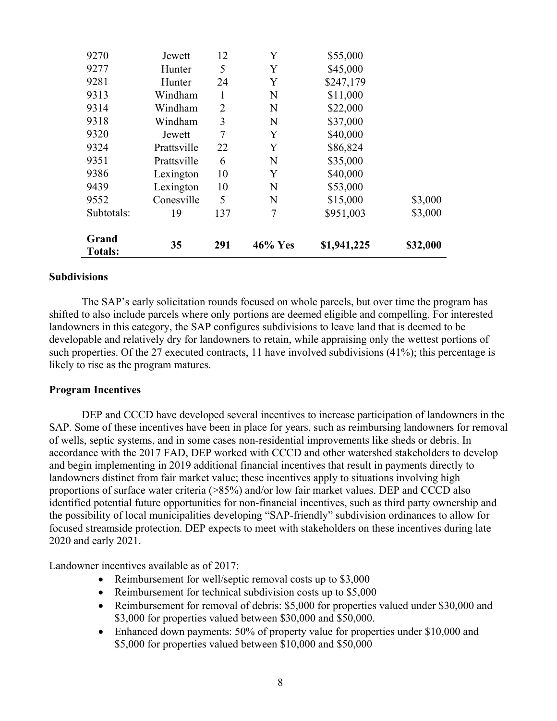| 9270                    | Jewett      | 12             | Y       | \$55,000    |          |
|-------------------------|-------------|----------------|---------|-------------|----------|
| 9277                    | Hunter      | 5              | Y       | \$45,000    |          |
| 9281                    | Hunter      | 24             | Y       | \$247,179   |          |
| 9313                    | Windham     | 1              | N       | \$11,000    |          |
| 9314                    | Windham     | $\overline{2}$ | N       | \$22,000    |          |
| 9318                    | Windham     | 3              | N       | \$37,000    |          |
| 9320                    | Jewett      | $\overline{7}$ | Y       | \$40,000    |          |
| 9324                    | Prattsville | 22             | Y       | \$86,824    |          |
| 9351                    | Prattsville | 6              | N       | \$35,000    |          |
| 9386                    | Lexington   | 10             | Y       | \$40,000    |          |
| 9439                    | Lexington   | 10             | N       | \$53,000    |          |
| 9552                    | Conesville  | 5              | N       | \$15,000    | \$3,000  |
| Subtotals:              | 19          | 137            | 7       | \$951,003   | \$3,000  |
| Grand<br><b>Totals:</b> | 35          | 291            | 46% Yes | \$1,941,225 | \$32,000 |

#### **Subdivisions**

The SAP's early solicitation rounds focused on whole parcels, but over time the program has shifted to also include parcels where only portions are deemed eligible and compelling. For interested landowners in this category, the SAP configures subdivisions to leave land that is deemed to be developable and relatively dry for landowners to retain, while appraising only the wettest portions of such properties. Of the 27 executed contracts, 11 have involved subdivisions (41%); this percentage is likely to rise as the program matures.

#### **Program Incentives**

 DEP and CCCD have developed several incentives to increase participation of landowners in the SAP. Some of these incentives have been in place for years, such as reimbursing landowners for removal of wells, septic systems, and in some cases non-residential improvements like sheds or debris. In accordance with the 2017 FAD, DEP worked with CCCD and other watershed stakeholders to develop and begin implementing in 2019 additional financial incentives that result in payments directly to landowners distinct from fair market value; these incentives apply to situations involving high proportions of surface water criteria (>85%) and/or low fair market values. DEP and CCCD also identified potential future opportunities for non-financial incentives, such as third party ownership and the possibility of local municipalities developing "SAP-friendly" subdivision ordinances to allow for focused streamside protection. DEP expects to meet with stakeholders on these incentives during late 2020 and early 2021.

Landowner incentives available as of 2017:

- Reimbursement for well/septic removal costs up to \$3,000
- Reimbursement for technical subdivision costs up to \$5,000
- Reimbursement for removal of debris: \$5,000 for properties valued under \$30,000 and \$3,000 for properties valued between \$30,000 and \$50,000.
- Enhanced down payments: 50% of property value for properties under \$10,000 and \$5,000 for properties valued between \$10,000 and \$50,000